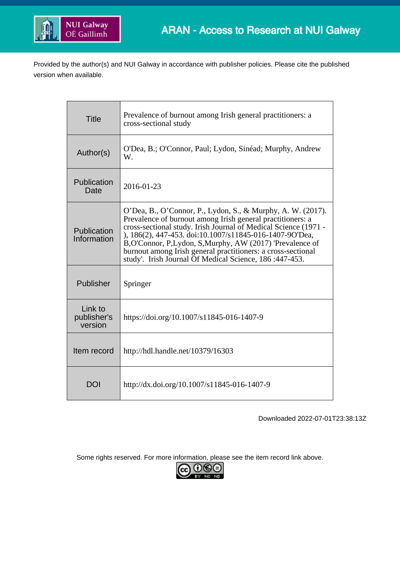

Provided by the author(s) and NUI Galway in accordance with publisher policies. Please cite the published version when available.

| <b>Title</b>                      | Prevalence of burnout among Irish general practitioners: a<br>cross-sectional study                                                                                                                                                                                                                                                                                                                                                             |
|-----------------------------------|-------------------------------------------------------------------------------------------------------------------------------------------------------------------------------------------------------------------------------------------------------------------------------------------------------------------------------------------------------------------------------------------------------------------------------------------------|
| Author(s)                         | O'Dea, B.; O'Connor, Paul; Lydon, Sinéad; Murphy, Andrew<br>W.                                                                                                                                                                                                                                                                                                                                                                                  |
| Publication<br>Date               | 2016-01-23                                                                                                                                                                                                                                                                                                                                                                                                                                      |
| Publication<br>Information        | O'Dea, B., O'Connor, P., Lydon, S., & Murphy, A. W. (2017).<br>Prevalence of burnout among Irish general practitioners: a<br>cross-sectional study. Irish Journal of Medical Science (1971 -<br>), 186(2), 447-453. doi:10.1007/s11845-016-1407-9O'Dea,<br>B, O'Connor, P, Lydon, S, Murphy, AW (2017) 'Prevalence of<br>burnout among Irish general practitioners: a cross-sectional<br>study'. Irish Journal Of Medical Science, 186:447-453. |
| Publisher                         | Springer                                                                                                                                                                                                                                                                                                                                                                                                                                        |
| Link to<br>publisher's<br>version | https://doi.org/10.1007/s11845-016-1407-9                                                                                                                                                                                                                                                                                                                                                                                                       |
| Item record                       | http://hdl.handle.net/10379/16303                                                                                                                                                                                                                                                                                                                                                                                                               |
| DOI                               | http://dx.doi.org/10.1007/s11845-016-1407-9                                                                                                                                                                                                                                                                                                                                                                                                     |

Downloaded 2022-07-01T23:38:13Z

Some rights reserved. For more information, please see the item record link above.

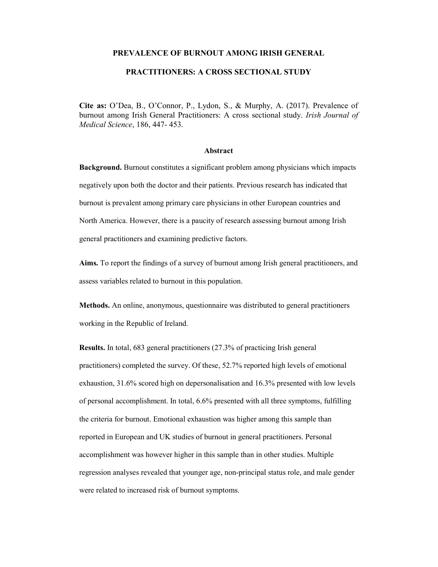#### PREVALENCE OF BURNOUT AMONG IRISH GENERAL

## PRACTITIONERS: A CROSS SECTIONAL STUDY

Cite as: O'Dea, B., O'Connor, P., Lydon, S., & Murphy, A. (2017). Prevalence of burnout among Irish General Practitioners: A cross sectional study. Irish Journal of Medical Science, 186, 447- 453.

#### Abstract

Background. Burnout constitutes a significant problem among physicians which impacts negatively upon both the doctor and their patients. Previous research has indicated that burnout is prevalent among primary care physicians in other European countries and North America. However, there is a paucity of research assessing burnout among Irish general practitioners and examining predictive factors.

Aims. To report the findings of a survey of burnout among Irish general practitioners, and assess variables related to burnout in this population.

Methods. An online, anonymous, questionnaire was distributed to general practitioners working in the Republic of Ireland.

Results. In total, 683 general practitioners (27.3% of practicing Irish general practitioners) completed the survey. Of these, 52.7% reported high levels of emotional exhaustion, 31.6% scored high on depersonalisation and 16.3% presented with low levels of personal accomplishment. In total, 6.6% presented with all three symptoms, fulfilling the criteria for burnout. Emotional exhaustion was higher among this sample than reported in European and UK studies of burnout in general practitioners. Personal accomplishment was however higher in this sample than in other studies. Multiple regression analyses revealed that younger age, non-principal status role, and male gender were related to increased risk of burnout symptoms.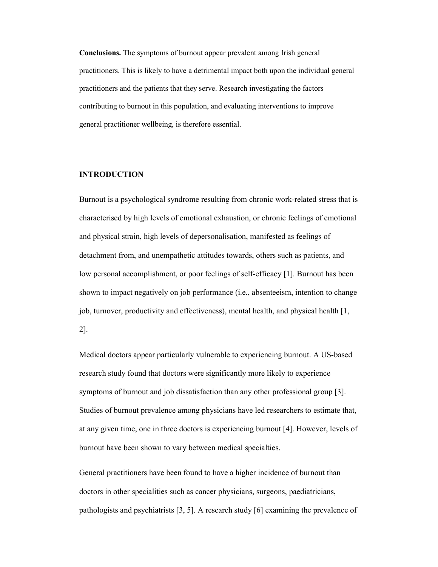Conclusions. The symptoms of burnout appear prevalent among Irish general practitioners. This is likely to have a detrimental impact both upon the individual general practitioners and the patients that they serve. Research investigating the factors contributing to burnout in this population, and evaluating interventions to improve general practitioner wellbeing, is therefore essential.

# INTRODUCTION

Burnout is a psychological syndrome resulting from chronic work-related stress that is characterised by high levels of emotional exhaustion, or chronic feelings of emotional and physical strain, high levels of depersonalisation, manifested as feelings of detachment from, and unempathetic attitudes towards, others such as patients, and low personal accomplishment, or poor feelings of self-efficacy [1]. Burnout has been shown to impact negatively on job performance (i.e., absenteeism, intention to change job, turnover, productivity and effectiveness), mental health, and physical health [1, 2].

Medical doctors appear particularly vulnerable to experiencing burnout. A US-based research study found that doctors were significantly more likely to experience symptoms of burnout and job dissatisfaction than any other professional group [3]. Studies of burnout prevalence among physicians have led researchers to estimate that, at any given time, one in three doctors is experiencing burnout [4]. However, levels of burnout have been shown to vary between medical specialties.

General practitioners have been found to have a higher incidence of burnout than doctors in other specialities such as cancer physicians, surgeons, paediatricians, pathologists and psychiatrists [3, 5]. A research study [6] examining the prevalence of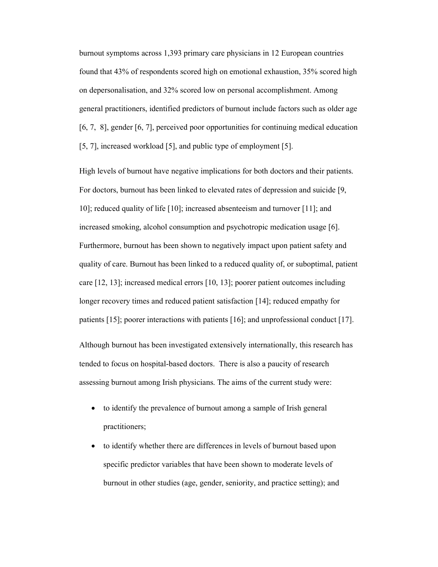burnout symptoms across 1,393 primary care physicians in 12 European countries found that 43% of respondents scored high on emotional exhaustion, 35% scored high on depersonalisation, and 32% scored low on personal accomplishment. Among general practitioners, identified predictors of burnout include factors such as older age [6, 7, 8], gender [6, 7], perceived poor opportunities for continuing medical education [5, 7], increased workload [5], and public type of employment [5].

High levels of burnout have negative implications for both doctors and their patients. For doctors, burnout has been linked to elevated rates of depression and suicide [9, 10]; reduced quality of life [10]; increased absenteeism and turnover [11]; and increased smoking, alcohol consumption and psychotropic medication usage [6]. Furthermore, burnout has been shown to negatively impact upon patient safety and quality of care. Burnout has been linked to a reduced quality of, or suboptimal, patient care [12, 13]; increased medical errors [10, 13]; poorer patient outcomes including longer recovery times and reduced patient satisfaction [14]; reduced empathy for patients [15]; poorer interactions with patients [16]; and unprofessional conduct [17].

Although burnout has been investigated extensively internationally, this research has tended to focus on hospital-based doctors. There is also a paucity of research assessing burnout among Irish physicians. The aims of the current study were:

- to identify the prevalence of burnout among a sample of Irish general practitioners;
- to identify whether there are differences in levels of burnout based upon specific predictor variables that have been shown to moderate levels of burnout in other studies (age, gender, seniority, and practice setting); and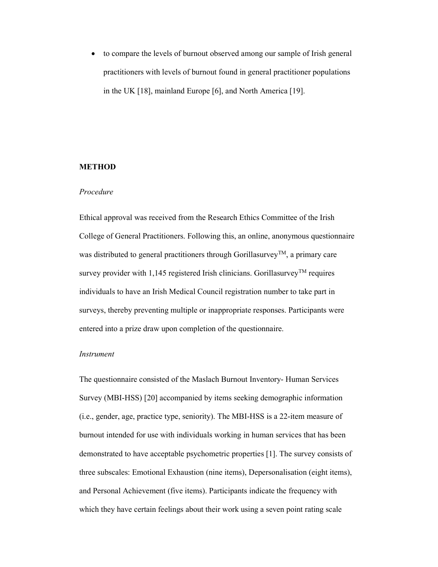to compare the levels of burnout observed among our sample of Irish general practitioners with levels of burnout found in general practitioner populations in the UK [18], mainland Europe [6], and North America [19].

## **METHOD**

#### Procedure

Ethical approval was received from the Research Ethics Committee of the Irish College of General Practitioners. Following this, an online, anonymous questionnaire was distributed to general practitioners through Gorillasurvey<sup>TM</sup>, a primary care survey provider with 1,145 registered Irish clinicians. Gorillasurvey<sup>TM</sup> requires individuals to have an Irish Medical Council registration number to take part in surveys, thereby preventing multiple or inappropriate responses. Participants were entered into a prize draw upon completion of the questionnaire.

# Instrument

The questionnaire consisted of the Maslach Burnout Inventory- Human Services Survey (MBI-HSS) [20] accompanied by items seeking demographic information (i.e., gender, age, practice type, seniority). The MBI-HSS is a 22-item measure of burnout intended for use with individuals working in human services that has been demonstrated to have acceptable psychometric properties [1]. The survey consists of three subscales: Emotional Exhaustion (nine items), Depersonalisation (eight items), and Personal Achievement (five items). Participants indicate the frequency with which they have certain feelings about their work using a seven point rating scale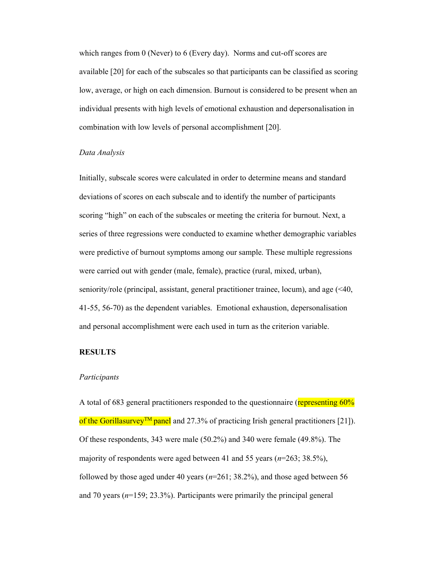which ranges from 0 (Never) to 6 (Every day). Norms and cut-off scores are available [20] for each of the subscales so that participants can be classified as scoring low, average, or high on each dimension. Burnout is considered to be present when an individual presents with high levels of emotional exhaustion and depersonalisation in combination with low levels of personal accomplishment [20].

## Data Analysis

Initially, subscale scores were calculated in order to determine means and standard deviations of scores on each subscale and to identify the number of participants scoring "high" on each of the subscales or meeting the criteria for burnout. Next, a series of three regressions were conducted to examine whether demographic variables were predictive of burnout symptoms among our sample. These multiple regressions were carried out with gender (male, female), practice (rural, mixed, urban), seniority/role (principal, assistant, general practitioner trainee, locum), and age (<40, 41-55, 56-70) as the dependent variables. Emotional exhaustion, depersonalisation and personal accomplishment were each used in turn as the criterion variable.

# RESULTS

#### Participants

A total of 683 general practitioners responded to the questionnaire (representing 60%) of the Gorillasurvey<sup>TM</sup> panel and 27.3% of practicing Irish general practitioners [21]). Of these respondents, 343 were male (50.2%) and 340 were female (49.8%). The majority of respondents were aged between 41 and 55 years ( $n=263$ ; 38.5%), followed by those aged under 40 years ( $n=261$ ; 38.2%), and those aged between 56 and 70 years  $(n=159; 23.3%)$ . Participants were primarily the principal general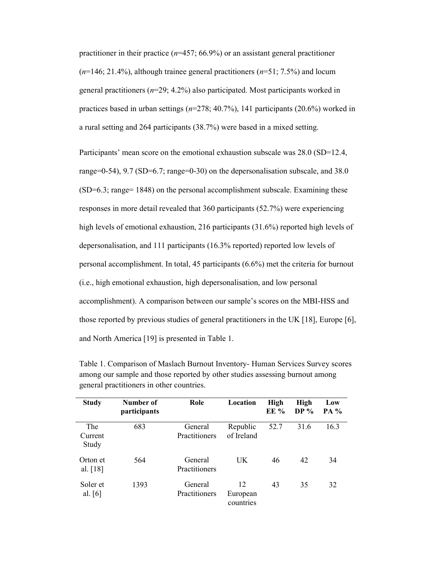practitioner in their practice ( $n=457$ ; 66.9%) or an assistant general practitioner  $(n=146; 21.4\%)$ , although trainee general practitioners  $(n=51; 7.5\%)$  and locum general practitioners ( $n=29$ ; 4.2%) also participated. Most participants worked in practices based in urban settings  $(n=278; 40.7%)$ , 141 participants (20.6%) worked in a rural setting and 264 participants (38.7%) were based in a mixed setting.

Participants' mean score on the emotional exhaustion subscale was 28.0 (SD=12.4, range=0-54), 9.7 (SD=6.7; range=0-30) on the depersonalisation subscale, and 38.0 (SD=6.3; range= 1848) on the personal accomplishment subscale. Examining these responses in more detail revealed that 360 participants (52.7%) were experiencing high levels of emotional exhaustion, 216 participants (31.6%) reported high levels of depersonalisation, and 111 participants (16.3% reported) reported low levels of personal accomplishment. In total, 45 participants (6.6%) met the criteria for burnout (i.e., high emotional exhaustion, high depersonalisation, and low personal accomplishment). A comparison between our sample's scores on the MBI-HSS and those reported by previous studies of general practitioners in the UK [18], Europe [6], and North America [19] is presented in Table 1.

| <b>Study</b>            | Number of<br>participants | Role                     | Location                    | <b>High</b><br><b>EE</b> % | <b>High</b><br>DP $%$ | Low<br>PA % |
|-------------------------|---------------------------|--------------------------|-----------------------------|----------------------------|-----------------------|-------------|
| The<br>Current<br>Study | 683                       | General<br>Practitioners | Republic<br>of Ireland      | 52.7                       | 31.6                  | 16.3        |
| Orton et<br>al. $[18]$  | 564                       | General<br>Practitioners | <b>UK</b>                   | 46                         | 42                    | 34          |
| Soler et<br>al. $[6]$   | 1393                      | General<br>Practitioners | 12<br>European<br>countries | 43                         | 35                    | 32          |

Table 1. Comparison of Maslach Burnout Inventory- Human Services Survey scores among our sample and those reported by other studies assessing burnout among general practitioners in other countries.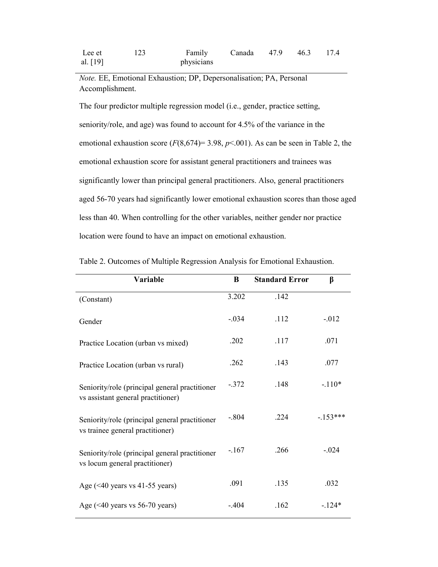Note. EE, Emotional Exhaustion; DP, Depersonalisation; PA, Personal Accomplishment.

The four predictor multiple regression model (i.e., gender, practice setting, seniority/role, and age) was found to account for 4.5% of the variance in the emotional exhaustion score ( $F(8,674) = 3.98$ ,  $p<0.01$ ). As can be seen in Table 2, the emotional exhaustion score for assistant general practitioners and trainees was significantly lower than principal general practitioners. Also, general practitioners aged 56-70 years had significantly lower emotional exhaustion scores than those aged less than 40. When controlling for the other variables, neither gender nor practice location were found to have an impact on emotional exhaustion.

| Variable                                                                             | B       | <b>Standard Error</b> | β         |
|--------------------------------------------------------------------------------------|---------|-----------------------|-----------|
| (Constant)                                                                           | 3.202   | .142                  |           |
| Gender                                                                               | $-.034$ | .112                  | $-.012$   |
| Practice Location (urban vs mixed)                                                   | .202    | .117                  | .071      |
| Practice Location (urban vs rural)                                                   | .262    | .143                  | .077      |
| Seniority/role (principal general practitioner<br>vs assistant general practitioner) | $-372$  | .148                  | $-.110*$  |
| Seniority/role (principal general practitioner<br>vs trainee general practitioner)   | $-.804$ | .224                  | $-153***$ |
| Seniority/role (principal general practitioner<br>vs locum general practitioner)     | $-.167$ | .266                  | $-.024$   |
| Age $(40 years vs 41-55 years)$                                                      | .091    | .135                  | .032      |
| Age $(40 years vs 56-70 years)$                                                      | $-.404$ | .162                  | $-124*$   |

Table 2. Outcomes of Multiple Regression Analysis for Emotional Exhaustion.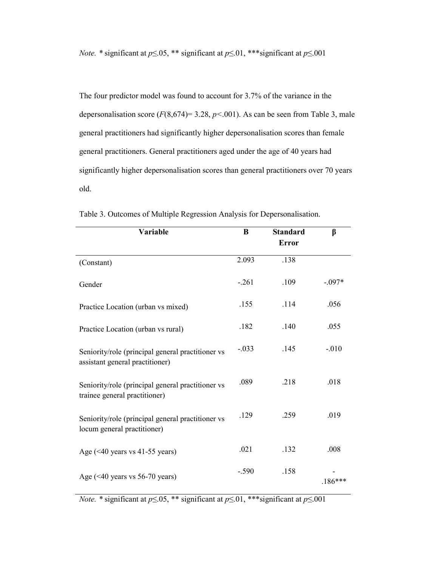*Note.* \* significant at  $p \le 0.05$ , \*\* significant at  $p \le 0.01$ , \*\*\* significant at  $p \le 0.001$ 

The four predictor model was found to account for 3.7% of the variance in the depersonalisation score  $(F(8,674)=3.28, p<.001)$ . As can be seen from Table 3, male general practitioners had significantly higher depersonalisation scores than female general practitioners. General practitioners aged under the age of 40 years had significantly higher depersonalisation scores than general practitioners over 70 years old.

| Variable                                                                             | B       | <b>Standard</b> | β         |
|--------------------------------------------------------------------------------------|---------|-----------------|-----------|
|                                                                                      |         | <b>Error</b>    |           |
| (Constant)                                                                           | 2.093   | .138            |           |
| Gender                                                                               | $-.261$ | .109            | $-.097*$  |
| Practice Location (urban vs mixed)                                                   | .155    | .114            | .056      |
| Practice Location (urban vs rural)                                                   | .182    | .140            | .055      |
| Seniority/role (principal general practitioner vs<br>assistant general practitioner) | $-.033$ | .145            | $-.010$   |
| Seniority/role (principal general practitioner vs<br>trainee general practitioner)   | .089    | .218            | .018      |
| Seniority/role (principal general practitioner vs<br>locum general practitioner)     | .129    | .259            | .019      |
| Age $(40 years vs 41-55 years)$                                                      | .021    | .132            | .008      |
| Age $(40 years vs 56-70 years)$                                                      | $-.590$ | .158            | $.186***$ |

Table 3. Outcomes of Multiple Regression Analysis for Depersonalisation.

*Note.* \* significant at  $p \le 0.05$ , \*\* significant at  $p \le 0.01$ , \*\*\* significant at  $p \le 0.001$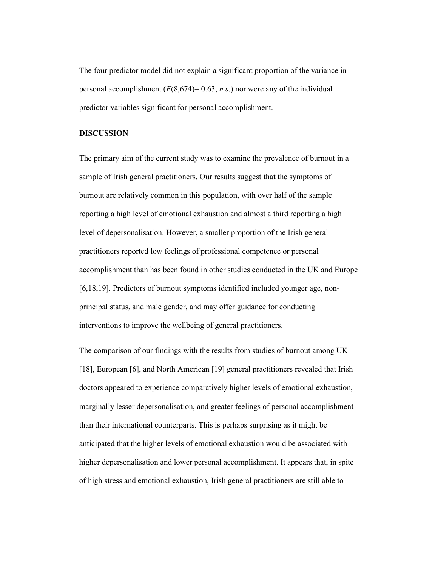The four predictor model did not explain a significant proportion of the variance in personal accomplishment  $(F(8,674)= 0.63, n.s.)$  nor were any of the individual predictor variables significant for personal accomplishment.

# DISCUSSION

The primary aim of the current study was to examine the prevalence of burnout in a sample of Irish general practitioners. Our results suggest that the symptoms of burnout are relatively common in this population, with over half of the sample reporting a high level of emotional exhaustion and almost a third reporting a high level of depersonalisation. However, a smaller proportion of the Irish general practitioners reported low feelings of professional competence or personal accomplishment than has been found in other studies conducted in the UK and Europe [6,18,19]. Predictors of burnout symptoms identified included younger age, nonprincipal status, and male gender, and may offer guidance for conducting interventions to improve the wellbeing of general practitioners.

The comparison of our findings with the results from studies of burnout among UK [18], European [6], and North American [19] general practitioners revealed that Irish doctors appeared to experience comparatively higher levels of emotional exhaustion, marginally lesser depersonalisation, and greater feelings of personal accomplishment than their international counterparts. This is perhaps surprising as it might be anticipated that the higher levels of emotional exhaustion would be associated with higher depersonalisation and lower personal accomplishment. It appears that, in spite of high stress and emotional exhaustion, Irish general practitioners are still able to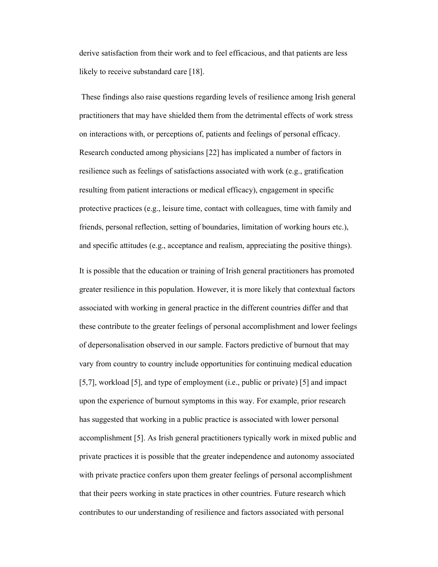derive satisfaction from their work and to feel efficacious, and that patients are less likely to receive substandard care [18].

 These findings also raise questions regarding levels of resilience among Irish general practitioners that may have shielded them from the detrimental effects of work stress on interactions with, or perceptions of, patients and feelings of personal efficacy. Research conducted among physicians [22] has implicated a number of factors in resilience such as feelings of satisfactions associated with work (e.g., gratification resulting from patient interactions or medical efficacy), engagement in specific protective practices (e.g., leisure time, contact with colleagues, time with family and friends, personal reflection, setting of boundaries, limitation of working hours etc.), and specific attitudes (e.g., acceptance and realism, appreciating the positive things).

It is possible that the education or training of Irish general practitioners has promoted greater resilience in this population. However, it is more likely that contextual factors associated with working in general practice in the different countries differ and that these contribute to the greater feelings of personal accomplishment and lower feelings of depersonalisation observed in our sample. Factors predictive of burnout that may vary from country to country include opportunities for continuing medical education [5,7], workload [5], and type of employment (i.e., public or private) [5] and impact upon the experience of burnout symptoms in this way. For example, prior research has suggested that working in a public practice is associated with lower personal accomplishment [5]. As Irish general practitioners typically work in mixed public and private practices it is possible that the greater independence and autonomy associated with private practice confers upon them greater feelings of personal accomplishment that their peers working in state practices in other countries. Future research which contributes to our understanding of resilience and factors associated with personal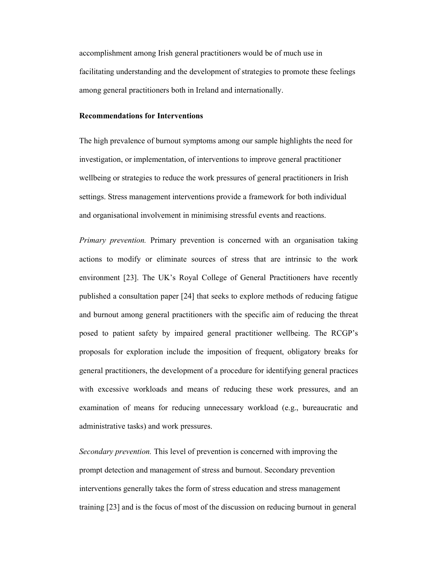accomplishment among Irish general practitioners would be of much use in facilitating understanding and the development of strategies to promote these feelings among general practitioners both in Ireland and internationally.

### Recommendations for Interventions

The high prevalence of burnout symptoms among our sample highlights the need for investigation, or implementation, of interventions to improve general practitioner wellbeing or strategies to reduce the work pressures of general practitioners in Irish settings. Stress management interventions provide a framework for both individual and organisational involvement in minimising stressful events and reactions.

Primary prevention. Primary prevention is concerned with an organisation taking actions to modify or eliminate sources of stress that are intrinsic to the work environment [23]. The UK's Royal College of General Practitioners have recently published a consultation paper [24] that seeks to explore methods of reducing fatigue and burnout among general practitioners with the specific aim of reducing the threat posed to patient safety by impaired general practitioner wellbeing. The RCGP's proposals for exploration include the imposition of frequent, obligatory breaks for general practitioners, the development of a procedure for identifying general practices with excessive workloads and means of reducing these work pressures, and an examination of means for reducing unnecessary workload (e.g., bureaucratic and administrative tasks) and work pressures.

Secondary prevention. This level of prevention is concerned with improving the prompt detection and management of stress and burnout. Secondary prevention interventions generally takes the form of stress education and stress management training [23] and is the focus of most of the discussion on reducing burnout in general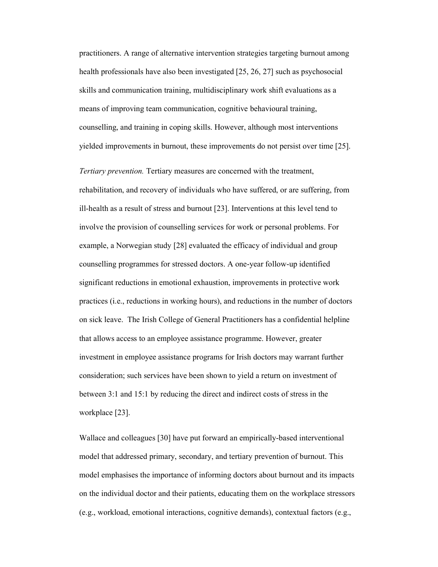practitioners. A range of alternative intervention strategies targeting burnout among health professionals have also been investigated [25, 26, 27] such as psychosocial skills and communication training, multidisciplinary work shift evaluations as a means of improving team communication, cognitive behavioural training, counselling, and training in coping skills. However, although most interventions yielded improvements in burnout, these improvements do not persist over time [25].

Tertiary prevention. Tertiary measures are concerned with the treatment, rehabilitation, and recovery of individuals who have suffered, or are suffering, from ill-health as a result of stress and burnout [23]. Interventions at this level tend to involve the provision of counselling services for work or personal problems. For example, a Norwegian study [28] evaluated the efficacy of individual and group counselling programmes for stressed doctors. A one-year follow-up identified significant reductions in emotional exhaustion, improvements in protective work practices (i.e., reductions in working hours), and reductions in the number of doctors on sick leave. The Irish College of General Practitioners has a confidential helpline that allows access to an employee assistance programme. However, greater investment in employee assistance programs for Irish doctors may warrant further consideration; such services have been shown to yield a return on investment of between 3:1 and 15:1 by reducing the direct and indirect costs of stress in the workplace [23].

Wallace and colleagues [30] have put forward an empirically-based interventional model that addressed primary, secondary, and tertiary prevention of burnout. This model emphasises the importance of informing doctors about burnout and its impacts on the individual doctor and their patients, educating them on the workplace stressors (e.g., workload, emotional interactions, cognitive demands), contextual factors (e.g.,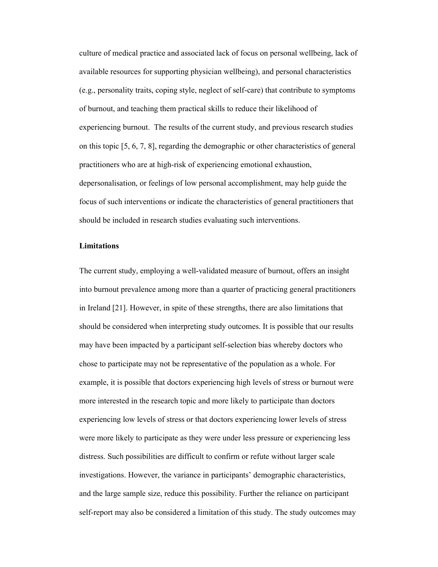culture of medical practice and associated lack of focus on personal wellbeing, lack of available resources for supporting physician wellbeing), and personal characteristics (e.g., personality traits, coping style, neglect of self-care) that contribute to symptoms of burnout, and teaching them practical skills to reduce their likelihood of experiencing burnout. The results of the current study, and previous research studies on this topic [5, 6, 7, 8], regarding the demographic or other characteristics of general practitioners who are at high-risk of experiencing emotional exhaustion, depersonalisation, or feelings of low personal accomplishment, may help guide the focus of such interventions or indicate the characteristics of general practitioners that should be included in research studies evaluating such interventions.

### Limitations

The current study, employing a well-validated measure of burnout, offers an insight into burnout prevalence among more than a quarter of practicing general practitioners in Ireland [21]. However, in spite of these strengths, there are also limitations that should be considered when interpreting study outcomes. It is possible that our results may have been impacted by a participant self-selection bias whereby doctors who chose to participate may not be representative of the population as a whole. For example, it is possible that doctors experiencing high levels of stress or burnout were more interested in the research topic and more likely to participate than doctors experiencing low levels of stress or that doctors experiencing lower levels of stress were more likely to participate as they were under less pressure or experiencing less distress. Such possibilities are difficult to confirm or refute without larger scale investigations. However, the variance in participants' demographic characteristics, and the large sample size, reduce this possibility. Further the reliance on participant self-report may also be considered a limitation of this study. The study outcomes may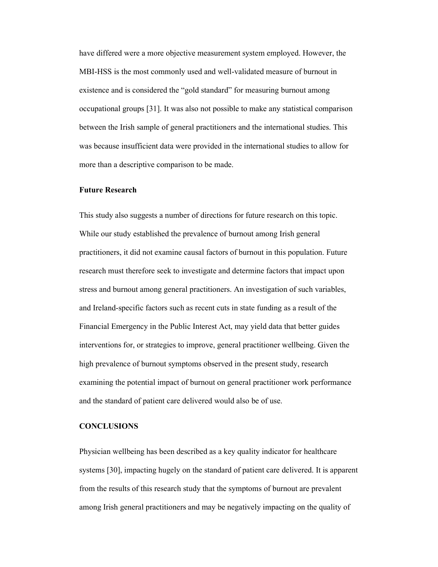have differed were a more objective measurement system employed. However, the MBI-HSS is the most commonly used and well-validated measure of burnout in existence and is considered the "gold standard" for measuring burnout among occupational groups [31]. It was also not possible to make any statistical comparison between the Irish sample of general practitioners and the international studies. This was because insufficient data were provided in the international studies to allow for more than a descriptive comparison to be made.

## Future Research

This study also suggests a number of directions for future research on this topic. While our study established the prevalence of burnout among Irish general practitioners, it did not examine causal factors of burnout in this population. Future research must therefore seek to investigate and determine factors that impact upon stress and burnout among general practitioners. An investigation of such variables, and Ireland-specific factors such as recent cuts in state funding as a result of the Financial Emergency in the Public Interest Act, may yield data that better guides interventions for, or strategies to improve, general practitioner wellbeing. Given the high prevalence of burnout symptoms observed in the present study, research examining the potential impact of burnout on general practitioner work performance and the standard of patient care delivered would also be of use.

# **CONCLUSIONS**

Physician wellbeing has been described as a key quality indicator for healthcare systems [30], impacting hugely on the standard of patient care delivered. It is apparent from the results of this research study that the symptoms of burnout are prevalent among Irish general practitioners and may be negatively impacting on the quality of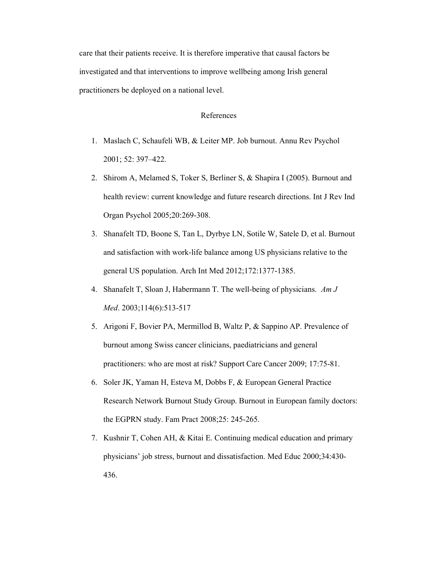care that their patients receive. It is therefore imperative that causal factors be investigated and that interventions to improve wellbeing among Irish general practitioners be deployed on a national level.

### References

- 1. Maslach C, Schaufeli WB, & Leiter MP. Job burnout. Annu Rev Psychol 2001; 52: 397–422.
- 2. Shirom A, Melamed S, Toker S, Berliner S, & Shapira I (2005). Burnout and health review: current knowledge and future research directions. Int J Rev Ind Organ Psychol 2005;20:269-308.
- 3. Shanafelt TD, Boone S, Tan L, Dyrbye LN, Sotile W, Satele D, et al. Burnout and satisfaction with work-life balance among US physicians relative to the general US population. Arch Int Med 2012;172:1377-1385.
- 4. Shanafelt T, Sloan J, Habermann T. The well-being of physicians. Am J Med. 2003;114(6):513-517
- 5. Arigoni F, Bovier PA, Mermillod B, Waltz P, & Sappino AP. Prevalence of burnout among Swiss cancer clinicians, paediatricians and general practitioners: who are most at risk? Support Care Cancer 2009; 17:75-81.
- 6. Soler JK, Yaman H, Esteva M, Dobbs F, & European General Practice Research Network Burnout Study Group. Burnout in European family doctors: the EGPRN study. Fam Pract 2008;25: 245-265.
- 7. Kushnir T, Cohen AH, & Kitai E. Continuing medical education and primary physicians' job stress, burnout and dissatisfaction. Med Educ 2000;34:430- 436.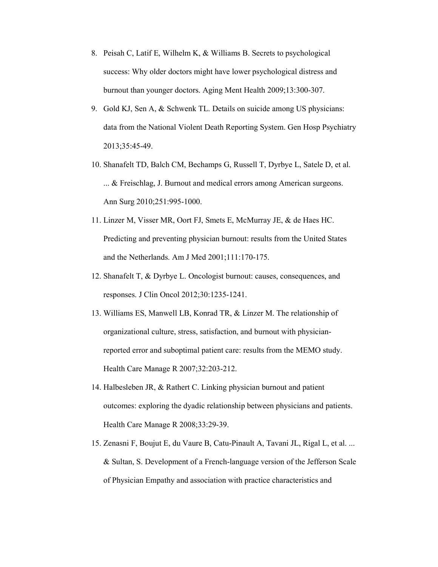- 8. Peisah C, Latif E, Wilhelm K, & Williams B. Secrets to psychological success: Why older doctors might have lower psychological distress and burnout than younger doctors. Aging Ment Health 2009;13:300-307.
- 9. Gold KJ, Sen A, & Schwenk TL. Details on suicide among US physicians: data from the National Violent Death Reporting System. Gen Hosp Psychiatry 2013;35:45-49.
- 10. Shanafelt TD, Balch CM, Bechamps G, Russell T, Dyrbye L, Satele D, et al. ... & Freischlag, J. Burnout and medical errors among American surgeons. Ann Surg 2010;251:995-1000.
- 11. Linzer M, Visser MR, Oort FJ, Smets E, McMurray JE, & de Haes HC. Predicting and preventing physician burnout: results from the United States and the Netherlands. Am J Med 2001;111:170-175.
- 12. Shanafelt T, & Dyrbye L. Oncologist burnout: causes, consequences, and responses. J Clin Oncol 2012;30:1235-1241.
- 13. Williams ES, Manwell LB, Konrad TR, & Linzer M. The relationship of organizational culture, stress, satisfaction, and burnout with physicianreported error and suboptimal patient care: results from the MEMO study. Health Care Manage R 2007;32:203-212.
- 14. Halbesleben JR, & Rathert C. Linking physician burnout and patient outcomes: exploring the dyadic relationship between physicians and patients. Health Care Manage R 2008;33:29-39.
- 15. Zenasni F, Boujut E, du Vaure B, Catu-Pinault A, Tavani JL, Rigal L, et al. ... & Sultan, S. Development of a French-language version of the Jefferson Scale of Physician Empathy and association with practice characteristics and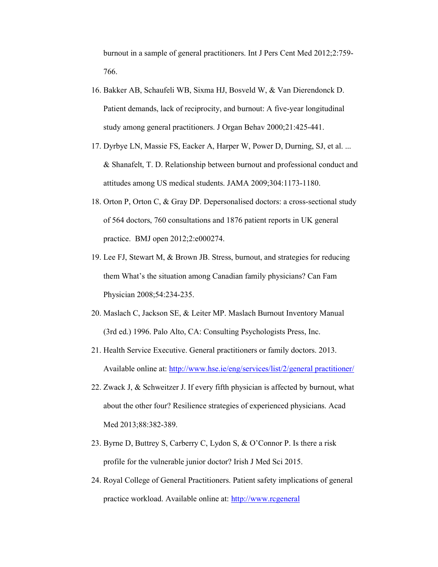burnout in a sample of general practitioners. Int J Pers Cent Med 2012;2:759- 766.

- 16. Bakker AB, Schaufeli WB, Sixma HJ, Bosveld W, & Van Dierendonck D. Patient demands, lack of reciprocity, and burnout: A five-year longitudinal study among general practitioners. J Organ Behav 2000;21:425-441.
- 17. Dyrbye LN, Massie FS, Eacker A, Harper W, Power D, Durning, SJ, et al. ... & Shanafelt, T. D. Relationship between burnout and professional conduct and attitudes among US medical students. JAMA 2009;304:1173-1180.
- 18. Orton P, Orton C, & Gray DP. Depersonalised doctors: a cross-sectional study of 564 doctors, 760 consultations and 1876 patient reports in UK general practice. BMJ open 2012;2:e000274.
- 19. Lee FJ, Stewart M, & Brown JB. Stress, burnout, and strategies for reducing them What's the situation among Canadian family physicians? Can Fam Physician 2008;54:234-235.
- 20. Maslach C, Jackson SE, & Leiter MP. Maslach Burnout Inventory Manual (3rd ed.) 1996. Palo Alto, CA: Consulting Psychologists Press, Inc.
- 21. Health Service Executive. General practitioners or family doctors. 2013. Available online at: http://www.hse.ie/eng/services/list/2/general practitioner/
- 22. Zwack J, & Schweitzer J. If every fifth physician is affected by burnout, what about the other four? Resilience strategies of experienced physicians. Acad Med 2013;88:382-389.
- 23. Byrne D, Buttrey S, Carberry C, Lydon S, & O'Connor P. Is there a risk profile for the vulnerable junior doctor? Irish J Med Sci 2015.
- 24. Royal College of General Practitioners. Patient safety implications of general practice workload. Available online at: http://www.rcgeneral